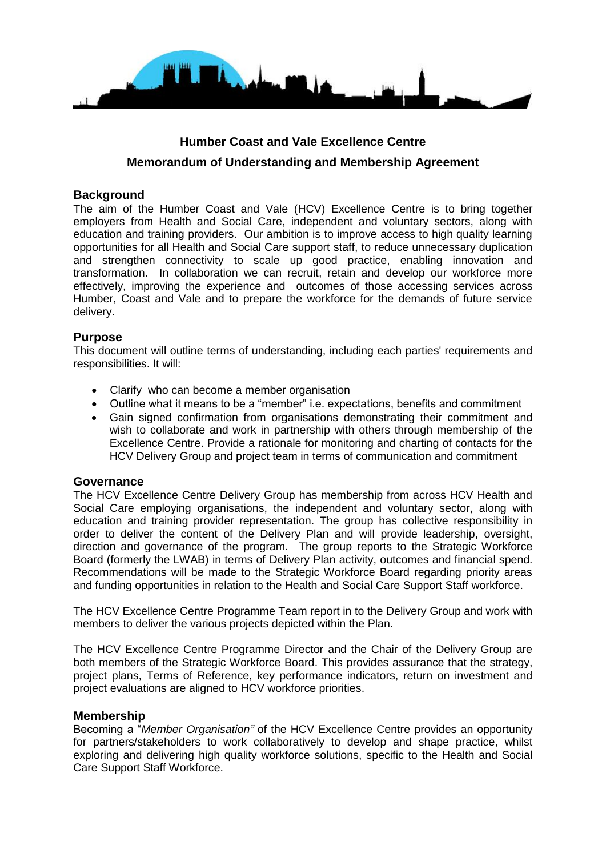

# **Humber Coast and Vale Excellence Centre Memorandum of Understanding and Membership Agreement**

# **Background**

The aim of the Humber Coast and Vale (HCV) Excellence Centre is to bring together employers from Health and Social Care, independent and voluntary sectors, along with education and training providers. Our ambition is to improve access to high quality learning opportunities for all Health and Social Care support staff, to reduce unnecessary duplication and strengthen connectivity to scale up good practice, enabling innovation and transformation. In collaboration we can recruit, retain and develop our workforce more effectively, improving the experience and outcomes of those accessing services across Humber, Coast and Vale and to prepare the workforce for the demands of future service delivery.

## **Purpose**

This document will outline terms of understanding, including each parties' requirements and responsibilities. It will:

- Clarify who can become a member organisation
- Outline what it means to be a "member" i.e. expectations, benefits and commitment
- Gain signed confirmation from organisations demonstrating their commitment and wish to collaborate and work in partnership with others through membership of the Excellence Centre. Provide a rationale for monitoring and charting of contacts for the HCV Delivery Group and project team in terms of communication and commitment

#### **Governance**

The HCV Excellence Centre Delivery Group has membership from across HCV Health and Social Care employing organisations, the independent and voluntary sector, along with education and training provider representation. The group has collective responsibility in order to deliver the content of the Delivery Plan and will provide leadership, oversight, direction and governance of the program. The group reports to the Strategic Workforce Board (formerly the LWAB) in terms of Delivery Plan activity, outcomes and financial spend. Recommendations will be made to the Strategic Workforce Board regarding priority areas and funding opportunities in relation to the Health and Social Care Support Staff workforce.

The HCV Excellence Centre Programme Team report in to the Delivery Group and work with members to deliver the various projects depicted within the Plan.

The HCV Excellence Centre Programme Director and the Chair of the Delivery Group are both members of the Strategic Workforce Board. This provides assurance that the strategy, project plans, Terms of Reference, key performance indicators, return on investment and project evaluations are aligned to HCV workforce priorities.

#### **Membership**

Becoming a "*Member Organisation"* of the HCV Excellence Centre provides an opportunity for partners/stakeholders to work collaboratively to develop and shape practice, whilst exploring and delivering high quality workforce solutions, specific to the Health and Social Care Support Staff Workforce.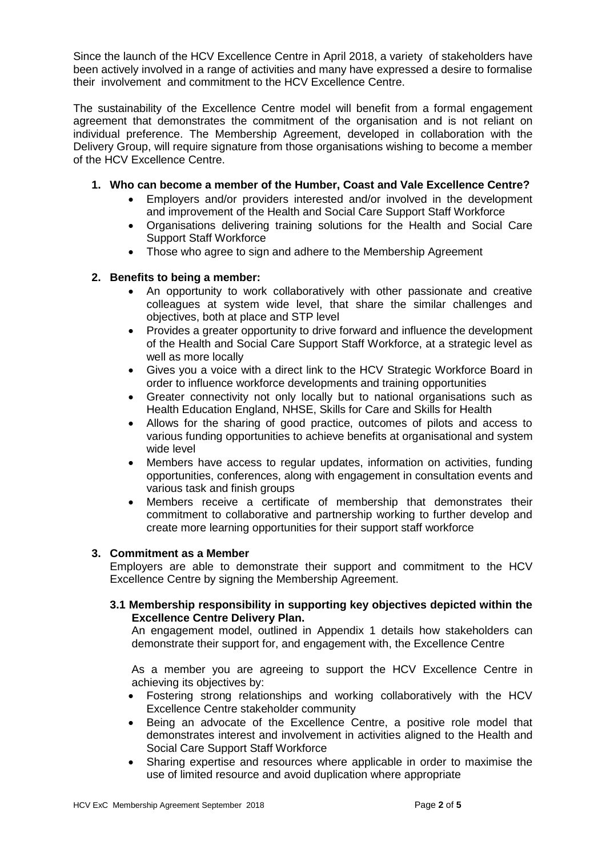Since the launch of the HCV Excellence Centre in April 2018, a variety of stakeholders have been actively involved in a range of activities and many have expressed a desire to formalise their involvement and commitment to the HCV Excellence Centre.

The sustainability of the Excellence Centre model will benefit from a formal engagement agreement that demonstrates the commitment of the organisation and is not reliant on individual preference. The Membership Agreement, developed in collaboration with the Delivery Group, will require signature from those organisations wishing to become a member of the HCV Excellence Centre.

# **1. Who can become a member of the Humber, Coast and Vale Excellence Centre?**

- Employers and/or providers interested and/or involved in the development and improvement of the Health and Social Care Support Staff Workforce
- Organisations delivering training solutions for the Health and Social Care Support Staff Workforce
- Those who agree to sign and adhere to the Membership Agreement

#### **2. Benefits to being a member:**

- An opportunity to work collaboratively with other passionate and creative colleagues at system wide level, that share the similar challenges and objectives, both at place and STP level
- Provides a greater opportunity to drive forward and influence the development of the Health and Social Care Support Staff Workforce, at a strategic level as well as more locally
- Gives you a voice with a direct link to the HCV Strategic Workforce Board in order to influence workforce developments and training opportunities
- Greater connectivity not only locally but to national organisations such as Health Education England, NHSE, Skills for Care and Skills for Health
- Allows for the sharing of good practice, outcomes of pilots and access to various funding opportunities to achieve benefits at organisational and system wide level
- Members have access to regular updates, information on activities, funding opportunities, conferences, along with engagement in consultation events and various task and finish groups
- Members receive a certificate of membership that demonstrates their commitment to collaborative and partnership working to further develop and create more learning opportunities for their support staff workforce

#### **3. Commitment as a Member**

Employers are able to demonstrate their support and commitment to the HCV Excellence Centre by signing the Membership Agreement.

#### **3.1 Membership responsibility in supporting key objectives depicted within the Excellence Centre Delivery Plan.**

 An engagement model, outlined in Appendix 1 details how stakeholders can demonstrate their support for, and engagement with, the Excellence Centre

 As a member you are agreeing to support the HCV Excellence Centre in achieving its objectives by:

- Fostering strong relationships and working collaboratively with the HCV Excellence Centre stakeholder community
- Being an advocate of the Excellence Centre, a positive role model that demonstrates interest and involvement in activities aligned to the Health and Social Care Support Staff Workforce
- Sharing expertise and resources where applicable in order to maximise the use of limited resource and avoid duplication where appropriate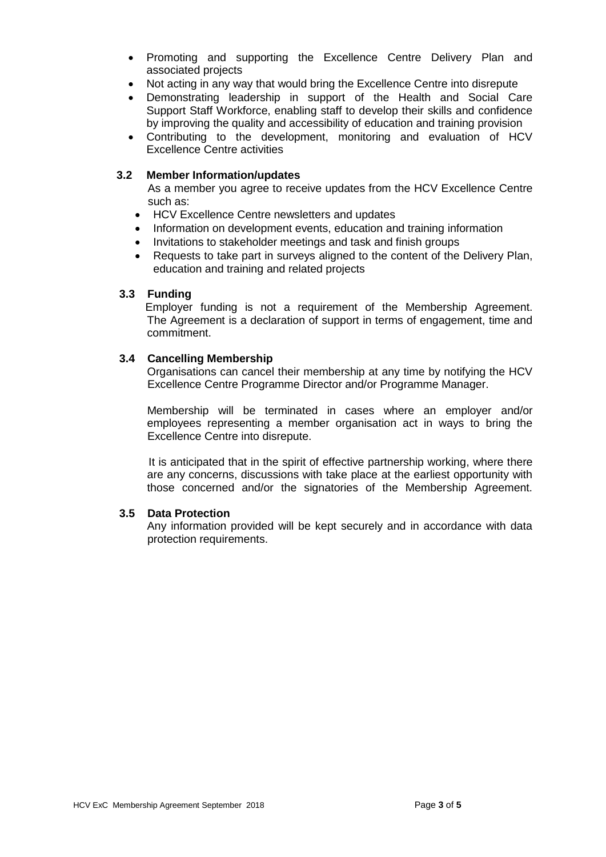- Promoting and supporting the Excellence Centre Delivery Plan and associated projects
- Not acting in any way that would bring the Excellence Centre into disrepute
- Demonstrating leadership in support of the Health and Social Care Support Staff Workforce, enabling staff to develop their skills and confidence by improving the quality and accessibility of education and training provision
- Contributing to the development, monitoring and evaluation of HCV Excellence Centre activities

#### **3.2 Member Information/updates**

 As a member you agree to receive updates from the HCV Excellence Centre such as:

- HCV Excellence Centre newsletters and updates
- Information on development events, education and training information
- Invitations to stakeholder meetings and task and finish groups
- Requests to take part in surveys aligned to the content of the Delivery Plan, education and training and related projects

#### **3.3 Funding**

 Employer funding is not a requirement of the Membership Agreement. The Agreement is a declaration of support in terms of engagement, time and commitment.

#### **3.4 Cancelling Membership**

 Organisations can cancel their membership at any time by notifying the HCV Excellence Centre Programme Director and/or Programme Manager.

 Membership will be terminated in cases where an employer and/or employees representing a member organisation act in ways to bring the Excellence Centre into disrepute.

 It is anticipated that in the spirit of effective partnership working, where there are any concerns, discussions with take place at the earliest opportunity with those concerned and/or the signatories of the Membership Agreement.

#### **3.5 Data Protection**

 Any information provided will be kept securely and in accordance with data protection requirements.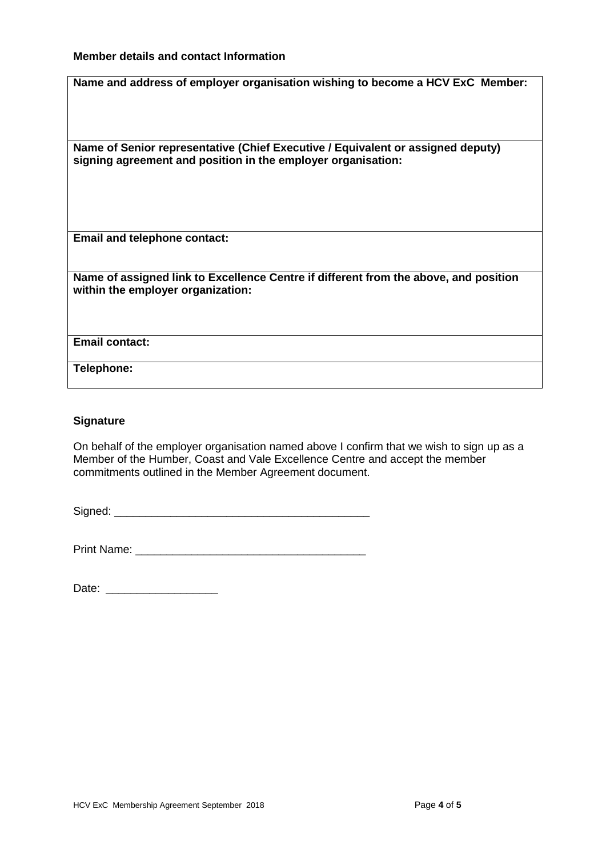#### **Member details and contact Information**

| Name and address of employer organisation wishing to become a HCV ExC Member:                                                                   |
|-------------------------------------------------------------------------------------------------------------------------------------------------|
| Name of Senior representative (Chief Executive / Equivalent or assigned deputy)<br>signing agreement and position in the employer organisation: |
| <b>Email and telephone contact:</b>                                                                                                             |
| Name of assigned link to Excellence Centre if different from the above, and position<br>within the employer organization:                       |
| <b>Email contact:</b>                                                                                                                           |
| Telephone:                                                                                                                                      |

#### **Signature**

On behalf of the employer organisation named above I confirm that we wish to sign up as a Member of the Humber, Coast and Vale Excellence Centre and accept the member commitments outlined in the Member Agreement document.

Signed: \_\_\_\_\_\_\_\_\_\_\_\_\_\_\_\_\_\_\_\_\_\_\_\_\_\_\_\_\_\_\_\_\_\_\_\_\_\_\_\_\_

| <b>Print Name:</b> |  |
|--------------------|--|
|--------------------|--|

| Date: |  |
|-------|--|
|-------|--|